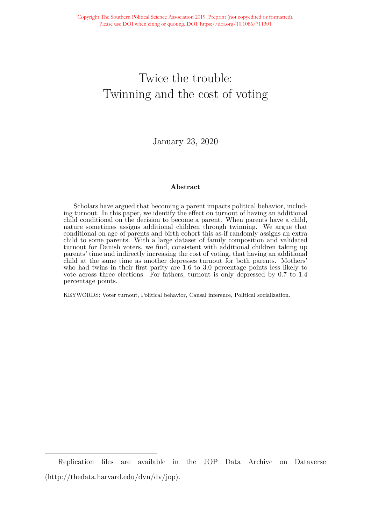# Twice the trouble: Twinning and the cost of voting

January 23, 2020

### **Abstract**

Scholars have argued that becoming a parent impacts political behavior, including turnout. In this paper, we identify the effect on turnout of having an additional child conditional on the decision to become a parent. When parents have a child, nature sometimes assigns additional children through twinning. We argue that conditional on age of parents and birth cohort this as-if randomly assigns an extra child to some parents. With a large dataset of family composition and validated turnout for Danish voters, we find, consistent with additional children taking up parents' time and indirectly increasing the cost of voting, that having an additional child at the same time as another depresses turnout for both parents. Mothers' who had twins in their first parity are 1.6 to 3.0 percentage points less likely to vote across three elections. For fathers, turnout is only depressed by 0.7 to 1.4 percentage points.

KEYWORDS: Voter turnout, Political behavior, Causal inference, Political socialization.

Replication files are available in the JOP Data Archive on Dataverse (http://thedata.harvard.edu/dvn/dv/jop).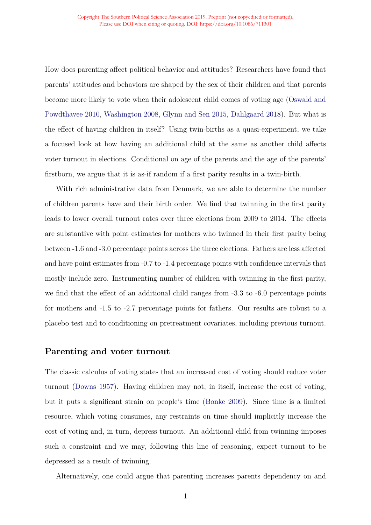How does parenting affect political behavior and attitudes? Researchers have found that parents' attitudes and behaviors are shaped by the sex of their children and that parents become more likely to vote when their adolescent child comes of voting age [\(Oswald and](#page-10-0) [Powdthavee 2010,](#page-10-0) [Washington 2008](#page-10-1), [Glynn and Sen 2015,](#page-10-2) [Dahlgaard 2018\)](#page-10-3). But what is the effect of having children in itself? Using twin-births as a quasi-experiment, we take a focused look at how having an additional child at the same as another child affects voter turnout in elections. Conditional on age of the parents and the age of the parents' firstborn, we argue that it is as-if random if a first parity results in a twin-birth.

With rich administrative data from Denmark, we are able to determine the number of children parents have and their birth order. We find that twinning in the first parity leads to lower overall turnout rates over three elections from 2009 to 2014. The effects are substantive with point estimates for mothers who twinned in their first parity being between -1.6 and -3.0 percentage points across the three elections. Fathers are less affected and have point estimates from -0.7 to -1.4 percentage points with confidence intervals that mostly include zero. Instrumenting number of children with twinning in the first parity, we find that the effect of an additional child ranges from -3.3 to -6.0 percentage points for mothers and -1.5 to -2.7 percentage points for fathers. Our results are robust to a placebo test and to conditioning on pretreatment covariates, including previous turnout.

### **Parenting and voter turnout**

The classic calculus of voting states that an increased cost of voting should reduce voter turnout [\(Downs 1957\)](#page-10-4). Having children may not, in itself, increase the cost of voting, but it puts a significant strain on people's time ([Bonke 2009\)](#page-9-0). Since time is a limited resource, which voting consumes, any restraints on time should implicitly increase the cost of voting and, in turn, depress turnout. An additional child from twinning imposes such a constraint and we may, following this line of reasoning, expect turnout to be depressed as a result of twinning.

Alternatively, one could argue that parenting increases parents dependency on and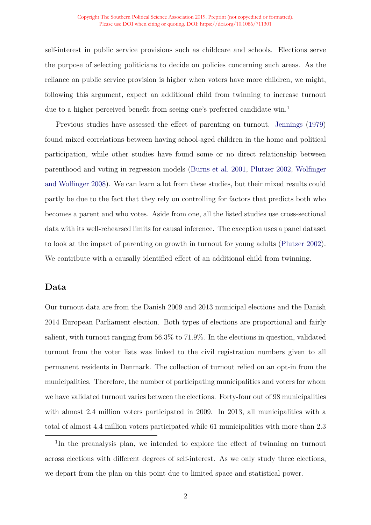#### Copyright The Southern Political Science Association 2019. Preprint (not copyedited or formatted). Please use DOI when citing or quoting. DOI: https://doi.org/10.1086/711301

self-interest in public service provisions such as childcare and schools. Elections serve the purpose of selecting politicians to decide on policies concerning such areas. As the reliance on public service provision is higher when voters have more children, we might, following this argument, expect an additional child from twinning to increase turnout due to a higher perceived benefit from seeing one's preferred candidate win.<sup>1</sup>

Previous studies have assessed the effect of parenting on turnout. [Jennings](#page-10-5) [\(1979\)](#page-10-5) found mixed correlations between having school-aged children in the home and political participation, while other studies have found some or no direct relationship between parenthood and voting in regression models [\(Burns et al. 2001,](#page-10-6) [Plutzer 2002,](#page-10-7) [Wolfinger](#page-10-8) [and Wolfinger 2008\)](#page-10-8). We can learn a lot from these studies, but their mixed results could partly be due to the fact that they rely on controlling for factors that predicts both who becomes a parent and who votes. Aside from one, all the listed studies use cross-sectional data with its well-rehearsed limits for causal inference. The exception uses a panel dataset to look at the impact of parenting on growth in turnout for young adults ([Plutzer 2002](#page-10-7)). We contribute with a causally identified effect of an additional child from twinning.

### **Data**

Our turnout data are from the Danish 2009 and 2013 municipal elections and the Danish 2014 European Parliament election. Both types of elections are proportional and fairly salient, with turnout ranging from 56.3% to 71.9%. In the elections in question, validated turnout from the voter lists was linked to the civil registration numbers given to all permanent residents in Denmark. The collection of turnout relied on an opt-in from the municipalities. Therefore, the number of participating municipalities and voters for whom we have validated turnout varies between the elections. Forty-four out of 98 municipalities with almost 2.4 million voters participated in 2009. In 2013, all municipalities with a total of almost 4.4 million voters participated while 61 municipalities with more than 2.3

<sup>&</sup>lt;sup>1</sup>In the preanalysis plan, we intended to explore the effect of twinning on turnout across elections with different degrees of self-interest. As we only study three elections, we depart from the plan on this point due to limited space and statistical power.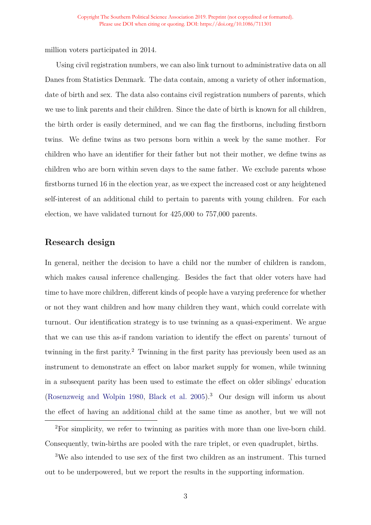million voters participated in 2014.

Using civil registration numbers, we can also link turnout to administrative data on all Danes from Statistics Denmark. The data contain, among a variety of other information, date of birth and sex. The data also contains civil registration numbers of parents, which we use to link parents and their children. Since the date of birth is known for all children, the birth order is easily determined, and we can flag the firstborns, including firstborn twins. We define twins as two persons born within a week by the same mother. For children who have an identifier for their father but not their mother, we define twins as children who are born within seven days to the same father. We exclude parents whose firstborns turned 16 in the election year, as we expect the increased cost or any heightened self-interest of an additional child to pertain to parents with young children. For each election, we have validated turnout for 425,000 to 757,000 parents.

## **Research design**

In general, neither the decision to have a child nor the number of children is random, which makes causal inference challenging. Besides the fact that older voters have had time to have more children, different kinds of people have a varying preference for whether or not they want children and how many children they want, which could correlate with turnout. Our identification strategy is to use twinning as a quasi-experiment. We argue that we can use this as-if random variation to identify the effect on parents' turnout of twinning in the first parity.2 Twinning in the first parity has previously been used as an instrument to demonstrate an effect on labor market supply for women, while twinning in a subsequent parity has been used to estimate the effect on older siblings' education ([Rosenzweig and Wolpin 1980,](#page-10-9) [Black et al. 2005](#page-9-1)).3 Our design will inform us about the effect of having an additional child at the same time as another, but we will not

<sup>2</sup>For simplicity, we refer to twinning as parities with more than one live-born child. Consequently, twin-births are pooled with the rare triplet, or even quadruplet, births.

<sup>3</sup>We also intended to use sex of the first two children as an instrument. This turned out to be underpowered, but we report the results in the supporting information.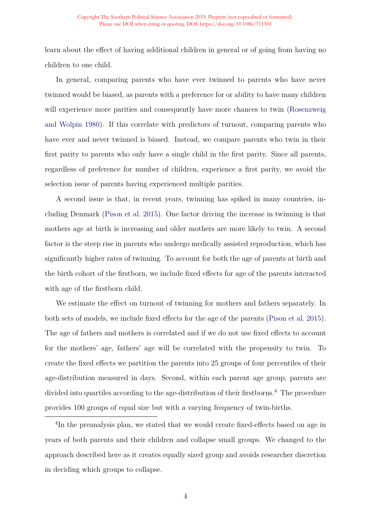learn about the effect of having additional children in general or of going from having no children to one child.

In general, comparing parents who have ever twinned to parents who have never twinned would be biased, as parents with a preference for or ability to have many children will experience more parities and consequently have more chances to twin ([Rosenzweig](#page-10-9) [and Wolpin 1980\)](#page-10-9). If this correlate with predictors of turnout, comparing parents who have ever and never twinned is biased. Instead, we compare parents who twin in their first parity to parents who only have a single child in the first parity. Since all parents, regardless of preference for number of children, experience a first parity, we avoid the selection issue of parents having experienced multiple parities.

A second issue is that, in recent years, twinning has spiked in many countries, including Denmark [\(Pison et al. 2015](#page-10-10)). One factor driving the increase in twinning is that mothers age at birth is increasing and older mothers are more likely to twin. A second factor is the steep rise in parents who undergo medically assisted reproduction, which has significantly higher rates of twinning. To account for both the age of parents at birth and the birth cohort of the firstborn, we include fixed effects for age of the parents interacted with age of the firstborn child.

We estimate the effect on turnout of twinning for mothers and fathers separately. In both sets of models, we include fixed effects for the age of the parents [\(Pison et al. 2015](#page-10-10)). The age of fathers and mothers is correlated and if we do not use fixed effects to account for the mothers' age, fathers' age will be correlated with the propensity to twin. To create the fixed effects we partition the parents into 25 groups of four percentiles of their age-distribution measured in days. Second, within each parent age group, parents are divided into quartiles according to the age-distribution of their firstborns.<sup>4</sup> The procedure provides 100 groups of equal size but with a varying frequency of twin-births.

<sup>4</sup>In the preanalysis plan, we stated that we would create fixed-effects based on age in years of both parents and their children and collapse small groups. We changed to the approach described here as it creates equally sized group and avoids researcher discretion in deciding which groups to collapse.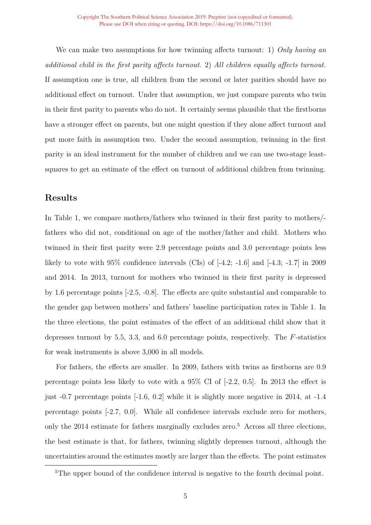We can make two assumptions for how twinning affects turnout: 1) *Only having an additional child in the first parity affects turnout.* 2) *All children equally affects turnout.* If assumption one is true, all children from the second or later parities should have no additional effect on turnout. Under that assumption, we just compare parents who twin in their first parity to parents who do not. It certainly seems plausible that the firstborns have a stronger effect on parents, but one might question if they alone affect turnout and put more faith in assumption two. Under the second assumption, twinning in the first parity is an ideal instrument for the number of children and we can use two-stage leastsquares to get an estimate of the effect on turnout of additional children from twinning.

## **Results**

In Table [1,](#page-6-0) we compare mothers/fathers who twinned in their first parity to mothers/ fathers who did not, conditional on age of the mother/father and child. Mothers who twinned in their first parity were 2.9 percentage points and 3.0 percentage points less likely to vote with  $95\%$  confidence intervals (CIs) of  $[-4.2; -1.6]$  and  $[-4.3; -1.7]$  in 2009 and 2014. In 2013, turnout for mothers who twinned in their first parity is depressed by 1.6 percentage points [-2.5, -0.8]. The effects are quite substantial and comparable to the gender gap between mothers' and fathers' baseline participation rates in Table 1. In the three elections, the point estimates of the effect of an additional child show that it depresses turnout by 5.5, 3.3, and 6.0 percentage points, respectively. The *F*-statistics for weak instruments is above 3,000 in all models.

For fathers, the effects are smaller. In 2009, fathers with twins as firstborns are 0.9 percentage points less likely to vote with a 95% CI of [-2.2, 0.5]. In 2013 the effect is just -0.7 percentage points [-1.6, 0.2] while it is slightly more negative in 2014, at -1.4 percentage points [-2.7, 0.0]. While all confidence intervals exclude zero for mothers, only the  $2014$  estimate for fathers marginally excludes zero.<sup>5</sup> Across all three elections, the best estimate is that, for fathers, twinning slightly depresses turnout, although the uncertainties around the estimates mostly are larger than the effects. The point estimates

<sup>&</sup>lt;sup>5</sup>The upper bound of the confidence interval is negative to the fourth decimal point.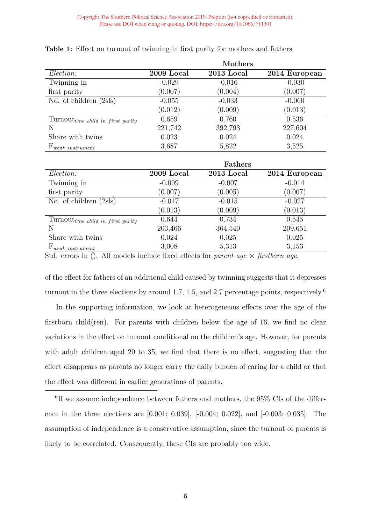|                                    |            | Mothers    |               |
|------------------------------------|------------|------------|---------------|
| Election:                          | 2009 Local | 2013 Local | 2014 European |
| Twinning in                        | $-0.029$   | $-0.016$   | $-0.030$      |
| first parity                       | (0.007)    | (0.004)    | (0.007)       |
| No. of children $(2sls)$           | $-0.055$   | $-0.033$   | $-0.060$      |
|                                    | (0.012)    | (0.009)    | (0.013)       |
| $TurnoutOne child in first parity$ | 0.659      | 0.760      | 0.536         |
| N                                  | 221,742    | 392,793    | 227,604       |
| Share with twins                   | 0.023      | 0.024      | 0.024         |
| $F_{weak\ instrument}$             | 3,687      | 5,822      | 3,525         |

<span id="page-6-0"></span>**Table 1:** Effect on turnout of twinning in first parity for mothers and fathers.

|                                           |            | <b>Fathers</b> |               |
|-------------------------------------------|------------|----------------|---------------|
| Election:                                 | 2009 Local | 2013 Local     | 2014 European |
| Twinning in                               | $-0.009$   | $-0.007$       | $-0.014$      |
| first parity                              | (0.007)    | (0.005)        | (0.007)       |
| No. of children $(2sls)$                  | $-0.017$   | $-0.015$       | $-0.027$      |
|                                           | (0.013)    | (0.009)        | (0.013)       |
| $Turnout_{One\ child\ in\ first\ parity}$ | 0.644      | 0.734          | 0.545         |
| N                                         | 203,466    | 364,540        | 209,651       |
| Share with twins                          | 0.024      | 0.025          | 0.025         |
| $F_{weak\ instrument}$                    | 3,008      | 5,313          | 3,153         |

Std. errors in (). All models include fixed effects for *parent age × firstborn age*.

of the effect for fathers of an additional child caused by twinning suggests that it depresses turnout in the three elections by around 1.7, 1.5, and 2.7 percentage points, respectively.<sup>6</sup>

In the supporting information, we look at heterogeneous effects over the age of the firstborn child(ren). For parents with children below the age of 16, we find no clear variations in the effect on turnout conditional on the children's age. However, for parents with adult children aged 20 to 35, we find that there is no effect, suggesting that the effect disappears as parents no longer carry the daily burden of caring for a child or that the effect was different in earlier generations of parents.

<sup>6</sup>If we assume independence between fathers and mothers, the 95% CIs of the difference in the three elections are [0.001; 0.039], [-0.004; 0.022], and [-0.003; 0.035]. The assumption of independence is a conservative assumption, since the turnout of parents is likely to be correlated. Consequently, these CIs are probably too wide.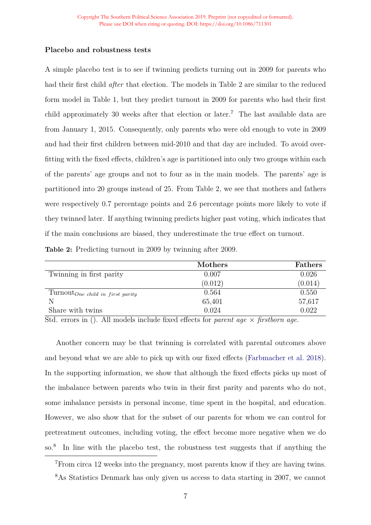### **Placebo and robustness tests**

A simple placebo test is to see if twinning predicts turning out in 2009 for parents who had their first child *after* that election. The models in Table [2](#page-7-0) are similar to the reduced form model in Table [1,](#page-6-0) but they predict turnout in 2009 for parents who had their first child approximately 30 weeks after that election or later.<sup>7</sup> The last available data are from January 1, 2015. Consequently, only parents who were old enough to vote in 2009 and had their first children between mid-2010 and that day are included. To avoid overfitting with the fixed effects, children's age is partitioned into only two groups within each of the parents' age groups and not to four as in the main models. The parents' age is partitioned into 20 groups instead of 25. From Table [2,](#page-7-0) we see that mothers and fathers were respectively 0.7 percentage points and 2.6 percentage points more likely to vote if they twinned later. If anything twinning predicts higher past voting, which indicates that if the main conclusions are biased, they underestimate the true effect on turnout.

<span id="page-7-0"></span>**Table 2:** Predicting turnout in 2009 by twinning after 2009.

|                                                     | Mothers | Fathers |
|-----------------------------------------------------|---------|---------|
| Twinning in first parity                            | 0.007   | 0.026   |
|                                                     | (0.012) | (0.014) |
| $\text{Turnout}_{\text{One child in first parity}}$ | 0.564   | 0.550   |
| N                                                   | 65,401  | 57,617  |
| Share with twins                                    | 0.024   | 0.022   |

Std. errors in (). All models include fixed effects for *parent age × firstborn age*.

Another concern may be that twinning is correlated with parental outcomes above and beyond what we are able to pick up with our fixed effects ([Farbmacher et al. 2018](#page-10-11)). In the supporting information, we show that although the fixed effects picks up most of the imbalance between parents who twin in their first parity and parents who do not, some imbalance persists in personal income, time spent in the hospital, and education. However, we also show that for the subset of our parents for whom we can control for pretreatment outcomes, including voting, the effect become more negative when we do so.8 In line with the placebo test, the robustness test suggests that if anything the

<sup>7</sup>From circa 12 weeks into the pregnancy, most parents know if they are having twins.

<sup>8</sup>As Statistics Denmark has only given us access to data starting in 2007, we cannot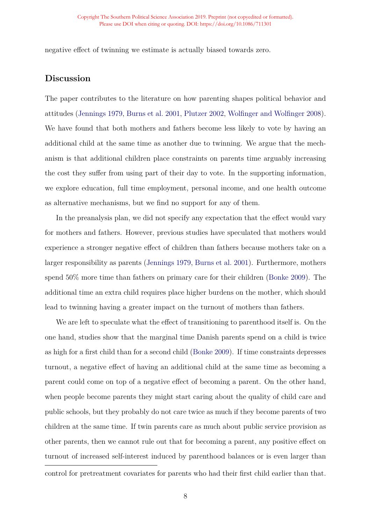negative effect of twinning we estimate is actually biased towards zero.

## **Discussion**

The paper contributes to the literature on how parenting shapes political behavior and attitudes [\(Jennings 1979,](#page-10-5) [Burns et al. 2001,](#page-10-6) [Plutzer 2002](#page-10-7), [Wolfinger and Wolfinger 2008](#page-10-8)). We have found that both mothers and fathers become less likely to vote by having an additional child at the same time as another due to twinning. We argue that the mechanism is that additional children place constraints on parents time arguably increasing the cost they suffer from using part of their day to vote. In the supporting information, we explore education, full time employment, personal income, and one health outcome as alternative mechanisms, but we find no support for any of them.

In the preanalysis plan, we did not specify any expectation that the effect would vary for mothers and fathers. However, previous studies have speculated that mothers would experience a stronger negative effect of children than fathers because mothers take on a larger responsibility as parents ([Jennings 1979](#page-10-5), [Burns et al. 2001\)](#page-10-6). Furthermore, mothers spend 50% more time than fathers on primary care for their children [\(Bonke 2009](#page-9-0)). The additional time an extra child requires place higher burdens on the mother, which should lead to twinning having a greater impact on the turnout of mothers than fathers.

We are left to speculate what the effect of transitioning to parenthood itself is. On the one hand, studies show that the marginal time Danish parents spend on a child is twice as high for a first child than for a second child ([Bonke 2009\)](#page-9-0). If time constraints depresses turnout, a negative effect of having an additional child at the same time as becoming a parent could come on top of a negative effect of becoming a parent. On the other hand, when people become parents they might start caring about the quality of child care and public schools, but they probably do not care twice as much if they become parents of two children at the same time. If twin parents care as much about public service provision as other parents, then we cannot rule out that for becoming a parent, any positive effect on turnout of increased self-interest induced by parenthood balances or is even larger than

control for pretreatment covariates for parents who had their first child earlier than that.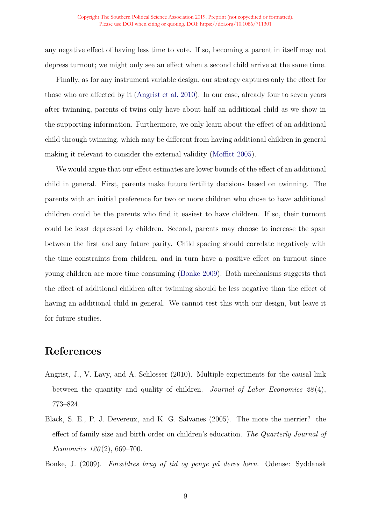any negative effect of having less time to vote. If so, becoming a parent in itself may not depress turnout; we might only see an effect when a second child arrive at the same time.

Finally, as for any instrument variable design, our strategy captures only the effect for those who are affected by it [\(Angrist et al. 2010](#page-9-2)). In our case, already four to seven years after twinning, parents of twins only have about half an additional child as we show in the supporting information. Furthermore, we only learn about the effect of an additional child through twinning, which may be different from having additional children in general making it relevant to consider the external validity ([Moffitt 2005\)](#page-10-12).

We would argue that our effect estimates are lower bounds of the effect of an additional child in general. First, parents make future fertility decisions based on twinning. The parents with an initial preference for two or more children who chose to have additional children could be the parents who find it easiest to have children. If so, their turnout could be least depressed by children. Second, parents may choose to increase the span between the first and any future parity. Child spacing should correlate negatively with the time constraints from children, and in turn have a positive effect on turnout since young children are more time consuming [\(Bonke 2009\)](#page-9-0). Both mechanisms suggests that the effect of additional children after twinning should be less negative than the effect of having an additional child in general. We cannot test this with our design, but leave it for future studies.

# **References**

- <span id="page-9-2"></span>Angrist, J., V. Lavy, and A. Schlosser (2010). Multiple experiments for the causal link between the quantity and quality of children. *Journal of Labor Economics 28* (4), 773–824.
- <span id="page-9-1"></span>Black, S. E., P. J. Devereux, and K. G. Salvanes (2005). The more the merrier? the effect of family size and birth order on children's education. *The Quarterly Journal of Economics 120* (2), 669–700.
- <span id="page-9-0"></span>Bonke, J. (2009). *Forældres brug af tid og penge på deres børn*. Odense: Syddansk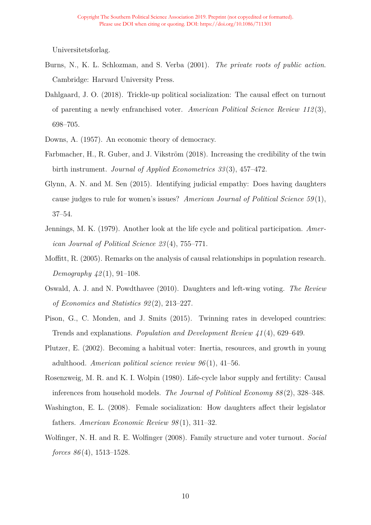Universitetsforlag.

- <span id="page-10-6"></span>Burns, N., K. L. Schlozman, and S. Verba (2001). *The private roots of public action*. Cambridge: Harvard University Press.
- <span id="page-10-3"></span>Dahlgaard, J. O. (2018). Trickle-up political socialization: The causal effect on turnout of parenting a newly enfranchised voter. *American Political Science Review 112* (3), 698–705.
- <span id="page-10-11"></span><span id="page-10-4"></span>Downs, A. (1957). An economic theory of democracy.
- Farbmacher, H., R. Guber, and J. Vikström (2018). Increasing the credibility of the twin birth instrument. *Journal of Applied Econometrics 33* (3), 457–472.
- <span id="page-10-2"></span>Glynn, A. N. and M. Sen (2015). Identifying judicial empathy: Does having daughters cause judges to rule for women's issues? *American Journal of Political Science 59* (1), 37–54.
- <span id="page-10-5"></span>Jennings, M. K. (1979). Another look at the life cycle and political participation. *American Journal of Political Science 23* (4), 755–771.
- <span id="page-10-12"></span>Moffitt, R. (2005). Remarks on the analysis of causal relationships in population research. *Demography 42* (1), 91–108.
- <span id="page-10-0"></span>Oswald, A. J. and N. Powdthavee (2010). Daughters and left-wing voting. *The Review of Economics and Statistics 92* (2), 213–227.
- <span id="page-10-10"></span>Pison, G., C. Monden, and J. Smits (2015). Twinning rates in developed countries: Trends and explanations. *Population and Development Review 41* (4), 629–649.
- <span id="page-10-7"></span>Plutzer, E. (2002). Becoming a habitual voter: Inertia, resources, and growth in young adulthood. *American political science review 96* (1), 41–56.
- <span id="page-10-9"></span>Rosenzweig, M. R. and K. I. Wolpin (1980). Life-cycle labor supply and fertility: Causal inferences from household models. *The Journal of Political Economy 88* (2), 328–348.
- <span id="page-10-1"></span>Washington, E. L. (2008). Female socialization: How daughters affect their legislator fathers. *American Economic Review 98* (1), 311–32.
- <span id="page-10-8"></span>Wolfinger, N. H. and R. E. Wolfinger (2008). Family structure and voter turnout. *Social forces 86* (4), 1513–1528.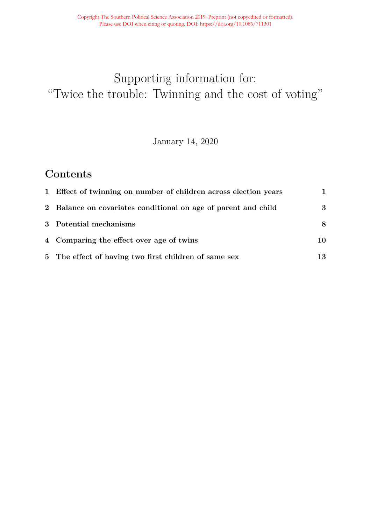# <span id="page-11-0"></span>Supporting information for: "Twice the trouble: Twinning and the cost of voting"

January 14, 2020

# **Contents**

| 1 Effect of twinning on number of children across election years | 1.  |
|------------------------------------------------------------------|-----|
| 2 Balance on covariates conditional on age of parent and child   | 3   |
| 3 Potential mechanisms                                           | 8   |
| 4 Comparing the effect over age of twins                         | 10. |
| 5 The effect of having two first children of same sex            | 13  |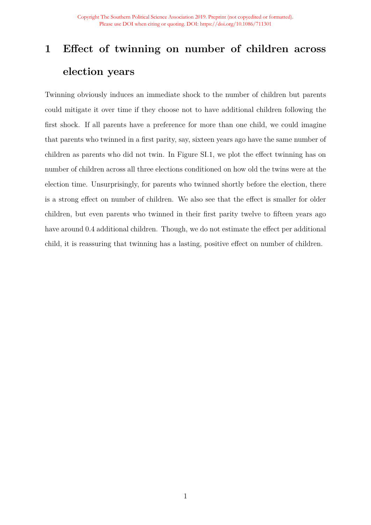# <span id="page-12-0"></span>**1 Effect of twinning on number of children across election years**

Twinning obviously induces an immediate shock to the number of children but parents could mitigate it over time if they choose not to have additional children following the first shock. If all parents have a preference for more than one child, we could imagine that parents who twinned in a first parity, say, sixteen years ago have the same number of children as parents who did not twin. In Figure [SI.1,](#page-13-0) we plot the effect twinning has on number of children across all three elections conditioned on how old the twins were at the election time. Unsurprisingly, for parents who twinned shortly before the election, there is a strong effect on number of children. We also see that the effect is smaller for older children, but even parents who twinned in their first parity twelve to fifteen years ago have around 0.4 additional children. Though, we do not estimate the effect per additional child, it is reassuring that twinning has a lasting, positive effect on number of children.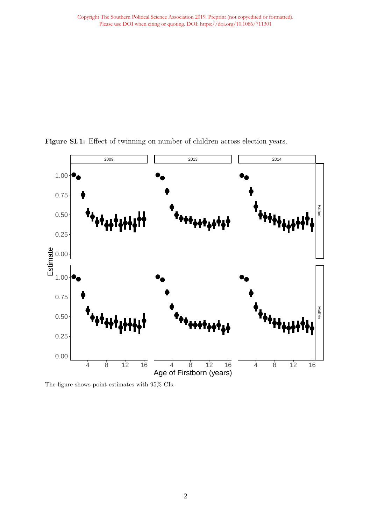

<span id="page-13-0"></span>Figure SI.1: Effect of twinning on number of children across election years.

The figure shows point estimates with 95% CIs.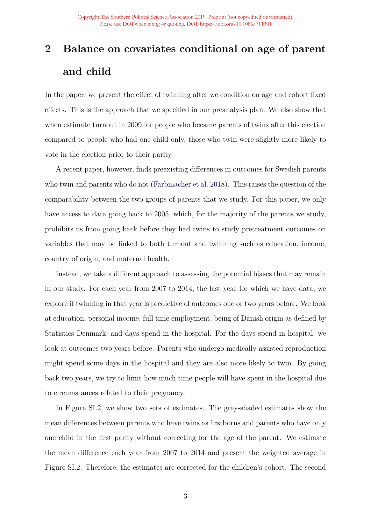# <span id="page-14-0"></span>**2 Balance on covariates conditional on age of parent and child**

In the paper, we present the effect of twinning after we condition on age and cohort fixed effects. This is the approach that we specified in our preanalysis plan. We also show that when estimate turnout in 2009 for people who became parents of twins after this election compared to people who had one child only, those who twin were slightly more likely to vote in the election prior to their parity.

A recent paper, however, finds preexisting differences in outcomes for Swedish parents who twin and parents who do not [\(Farbmacher et al. 2018\)](#page-26-0). This raises the question of the comparability between the two groups of parents that we study. For this paper, we only have access to data going back to 2005, which, for the majority of the parents we study, prohibits us from going back before they had twins to study pretreatment outcomes on variables that may be linked to both turnout and twinning such as education, income, country of origin, and maternal health.

Instead, we take a different approach to assessing the potential biases that may remain in our study. For each year from 2007 to 2014, the last year for which we have data, we explore if twinning in that year is predictive of outcomes one or two years before. We look at education, personal income, full time employment, being of Danish origin as defined by Statistics Denmark, and days spend in the hospital. For the days spend in hospital, we look at outcomes two years before. Parents who undergo medically assisted reproduction might spend some days in the hospital and they are also more likely to twin. By going back two years, we try to limit how much time people will have spent in the hospital due to circumstances related to their pregnancy.

In Figure [SI.2,](#page-15-0) we show two sets of estimates. The gray-shaded estimates show the mean differences between parents who have twins as firstborns and parents who have only one child in the first parity without correcting for the age of the parent. We estimate the mean difference each year from 2007 to 2014 and present the weighted average in Figure [SI.2.](#page-15-0) Therefore, the estimates are corrected for the children's cohort. The second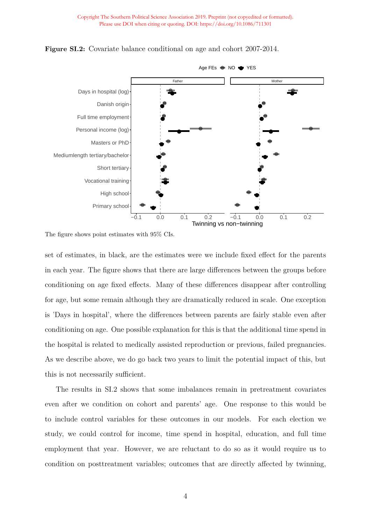

<span id="page-15-0"></span>**Figure SI.2:** Covariate balance conditional on age and cohort 2007-2014.

The figure shows point estimates with 95% CIs.

set of estimates, in black, are the estimates were we include fixed effect for the parents in each year. The figure shows that there are large differences between the groups before conditioning on age fixed effects. Many of these differences disappear after controlling for age, but some remain although they are dramatically reduced in scale. One exception is 'Days in hospital', where the differences between parents are fairly stable even after conditioning on age. One possible explanation for this is that the additional time spend in the hospital is related to medically assisted reproduction or previous, failed pregnancies. As we describe above, we do go back two years to limit the potential impact of this, but this is not necessarily sufficient.

The results in [SI.2](#page-15-0) shows that some imbalances remain in pretreatment covariates even after we condition on cohort and parents' age. One response to this would be to include control variables for these outcomes in our models. For each election we study, we could control for income, time spend in hospital, education, and full time employment that year. However, we are reluctant to do so as it would require us to condition on posttreatment variables; outcomes that are directly affected by twinning,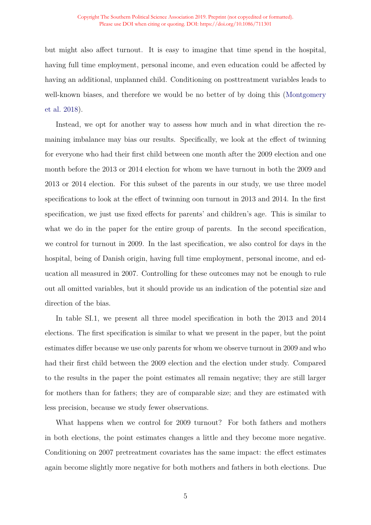#### Copyright The Southern Political Science Association 2019. Preprint (not copyedited or formatted). Please use DOI when citing or quoting. DOI: https://doi.org/10.1086/711301

but might also affect turnout. It is easy to imagine that time spend in the hospital, having full time employment, personal income, and even education could be affected by having an additional, unplanned child. Conditioning on posttreatment variables leads to well-known biases, and therefore we would be no better of by doing this [\(Montgomery](#page-26-1) [et al. 2018\)](#page-26-1).

Instead, we opt for another way to assess how much and in what direction the remaining imbalance may bias our results. Specifically, we look at the effect of twinning for everyone who had their first child between one month after the 2009 election and one month before the 2013 or 2014 election for whom we have turnout in both the 2009 and 2013 or 2014 election. For this subset of the parents in our study, we use three model specifications to look at the effect of twinning oon turnout in 2013 and 2014. In the first specification, we just use fixed effects for parents' and children's age. This is similar to what we do in the paper for the entire group of parents. In the second specification, we control for turnout in 2009. In the last specification, we also control for days in the hospital, being of Danish origin, having full time employment, personal income, and education all measured in 2007. Controlling for these outcomes may not be enough to rule out all omitted variables, but it should provide us an indication of the potential size and direction of the bias.

In table [SI.1,](#page-18-0) we present all three model specification in both the 2013 and 2014 elections. The first specification is similar to what we present in the paper, but the point estimates differ because we use only parents for whom we observe turnout in 2009 and who had their first child between the 2009 election and the election under study. Compared to the results in the paper the point estimates all remain negative; they are still larger for mothers than for fathers; they are of comparable size; and they are estimated with less precision, because we study fewer observations.

What happens when we control for 2009 turnout? For both fathers and mothers in both elections, the point estimates changes a little and they become more negative. Conditioning on 2007 pretreatment covariates has the same impact: the effect estimates again become slightly more negative for both mothers and fathers in both elections. Due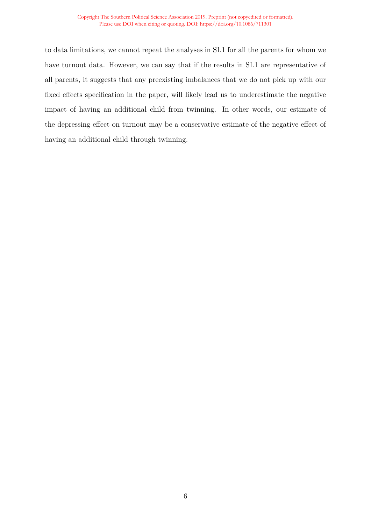#### Copyright The Southern Political Science Association 2019. Preprint (not copyedited or formatted). Please use DOI when citing or quoting. DOI: https://doi.org/10.1086/711301

to data limitations, we cannot repeat the analyses in [SI.1](#page-18-0) for all the parents for whom we have turnout data. However, we can say that if the results in [SI.1](#page-18-0) are representative of all parents, it suggests that any preexisting imbalances that we do not pick up with our fixed effects specification in the paper, will likely lead us to underestimate the negative impact of having an additional child from twinning. In other words, our estimate of the depressing effect on turnout may be a conservative estimate of the negative effect of having an additional child through twinning.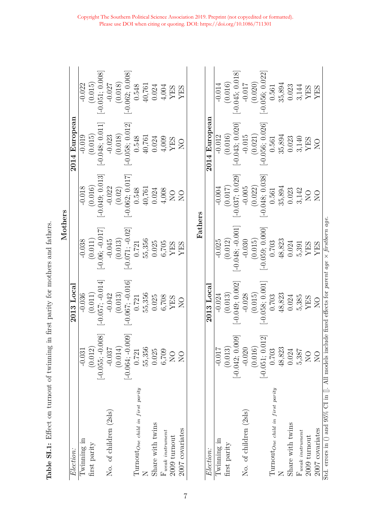<span id="page-18-0"></span>

| Ì                                 |
|-----------------------------------|
| contract contract of              |
|                                   |
| <b>Norwall for the company</b>    |
|                                   |
|                                   |
| ;<br>;<br>;                       |
| このこく くどくじゅんしゃ くじょく                |
| )<br>2<br>2<br>2                  |
| י<br>ו<br>۶<br>ا                  |
| ソンココ ・リー・リン                       |
| )<br>}<br>}<br>$\frac{1}{2}$<br>ĺ |

|                                 |                                |                                | Mothers                     |                               |                                                    |                                |
|---------------------------------|--------------------------------|--------------------------------|-----------------------------|-------------------------------|----------------------------------------------------|--------------------------------|
| Election:                       |                                | $2013$ $Local$                 |                             |                               | 2014 European                                      |                                |
| Iwinning in                     | $-0.031$                       | $-0.036$                       | $-0.038$                    | $-0.018$                      | $-0.019$                                           | $-0.022$                       |
| first parity                    | (0.012)                        | $\left( 0.011\right)$          | (0.011)                     | (0.016)                       | (0.015)                                            | (0.015)                        |
|                                 |                                |                                |                             |                               |                                                    |                                |
| No. of children (2sls)          | $[-0.055; -0.008]$<br>$-0.037$ | $[-0.057; -0.014]$<br>$-0.042$ | $[-0.06; -0.017]$<br>-0.045 | $[-0.049; 0.013]$<br>$-0.022$ | $[-0.048; 0.011]$<br>$-0.023$                      | $[-0.051; 0.008]$<br>$-0.027$  |
|                                 | $(0.014)$<br>[-0.064; -0.009]  | (0.013)                        | (0.013)                     | $(0.02)$<br>[-0.062; 0.017]   | (0.018)                                            | (0.018)                        |
|                                 |                                | $[-0.067; -0.016]$             | $[-0.071; -0.02]$           |                               | $[-0.058; 0.012]$                                  | $[-0.062; 0.008]$              |
| TumoutOne child in first parity | 0.721                          | 0.721                          | $0.721\,$                   | $0.548\,$                     | 0.548                                              | 0.548                          |
|                                 | 55,356                         | 55,356                         | 55,356                      | 40,761                        | 40,761                                             | 40,761                         |
| Share with twins                | 0.025                          | 0.025                          | 0.025                       | $0.024\,$                     | 0.024                                              | 0.024                          |
| $\rm F$ weak instrument         | 6,709                          |                                | $6,705$ YES                 | 4,008                         | $^{4,009}_{\rm YES}$                               |                                |
| $2009$ turnout                  | $\overline{N}$                 | 6,708<br>YES                   |                             | $\sum_{i=1}^{n}$              |                                                    | $\frac{4,004}{\text{YES}}$ YES |
| 2007 covariates                 | $\sum_{i=1}^{n}$               | $\sum_{i=1}^{n}$               | <b>YES</b>                  | $\overline{O}$                | $\sum_{i=1}^{n}$                                   |                                |
|                                 |                                |                                | Fathers                     |                               |                                                    |                                |
| Election:                       |                                | 2013 Local                     |                             |                               | 2014 European                                      |                                |
| Twinning in                     | $-0.017$                       | $-0.024$                       | $-0.025$                    | $-0.004$                      | $-0.012$                                           | $-0.014$                       |
| first parity                    | (0.013)                        | (0.013)                        | (0.012)                     | (0.017)                       | (0.016)                                            |                                |
|                                 | $[-0.042; 0.009]$              | $[-0.049, 0.002]$              | $-0.048$ ; $-0.001$         | $-0.037; 0.029]$              | $[-0.043; 0.020]$                                  | $(0.016)$<br>[-0.045; 0.018]   |
| No. of children (2sls)          | $-0.020$                       | $-0.028$                       | $-0.030$                    |                               | $-0.015$                                           | $-0.017$                       |
|                                 | (0.016)                        | (0.015)                        | (0.015)                     | $-0.005$<br>(0.022)           | (0.021)                                            | (0.020)                        |
|                                 | $[-0.051; 0.012]$              | $-0.058; 0.001]$               | $[-0.059; 0.000]$           | $[-0.048; 0.038]$             | $[-0.056; 0.026]$                                  | $[-0.056; 0.022]$              |
| TumoutOne child in first parity | 0.703                          | 0.703                          | 0.703                       | 0.561                         | 0.561                                              | 0.561                          |
|                                 | 48,823                         | 48,823                         | 48,823                      |                               |                                                    | 35,894                         |
| Share with twins                | 0.024                          | 0.024                          | 0.024                       | $35,894$<br>$0.023$           | 35,894<br>0.023                                    | 0.023                          |
| $\mathbf{F}$ weak instrument    | 5,387                          | 5,385                          | 5,391                       | $3,142$ NO                    | $\begin{array}{c} 3,140 \\ \text{YES} \end{array}$ | $\!3,144$                      |
| 2009 turnout                    | $\overline{N}$                 | <b>YES</b>                     | YES                         |                               |                                                    | YES                            |
| 2007 covariates                 | $\sum_{i=1}^{n}$               | $\sum_{i=1}^{n}$               | <b>XES</b>                  | $\sum_{i=1}^{n}$              | $\sum_{i=1}^{n}$                                   | <b>XEX</b>                     |
|                                 |                                |                                |                             |                               |                                                    |                                |

Std. errors in () and 95% CI in []. All models include fixed effects for *parent age* × *firstborn age*.

Std. errors in () and 95% CI in []. All models include fixed effects for parent age  $\times$  firstborn age.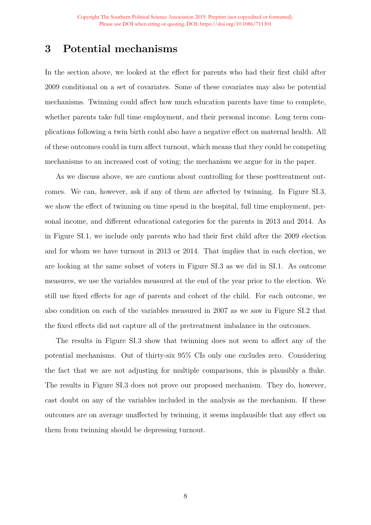# <span id="page-19-0"></span>**3 Potential mechanisms**

In the section above, we looked at the effect for parents who had their first child after 2009 conditional on a set of covariates. Some of these covariates may also be potential mechanisms. Twinning could affect how much education parents have time to complete, whether parents take full time employment, and their personal income. Long term complications following a twin birth could also have a negative effect on maternal health. All of these outcomes could in turn affect turnout, which means that they could be competing mechanisms to an increased cost of voting; the mechanism we argue for in the paper.

As we discuss above, we are cautious about controlling for these posttreatment outcomes. We can, however, ask if any of them are affected by twinning. In Figure [SI.3,](#page-20-0) we show the effect of twinning on time spend in the hospital, full time employment, personal income, and different educational categories for the parents in 2013 and 2014. As in Figure [SI.1,](#page-18-0) we include only parents who had their first child after the 2009 election and for whom we have turnout in 2013 or 2014. That implies that in each election, we are looking at the same subset of voters in Figure [SI.3](#page-20-0) as we did in [SI.1.](#page-18-0) As outcome measures, we use the variables measured at the end of the year prior to the election. We still use fixed effects for age of parents and cohort of the child. For each outcome, we also condition on each of the variables measured in 2007 as we saw in Figure [SI.2](#page-15-0) that the fixed effects did not capture all of the pretreatment imbalance in the outcomes.

The results in Figure [SI.3](#page-20-0) show that twinning does not seem to affect any of the potential mechanisms. Out of thirty-six 95% CIs only one excludes zero. Considering the fact that we are not adjusting for multiple comparisons, this is plausibly a fluke. The results in Figure [SI.3](#page-20-0) does not prove our proposed mechanism. They do, however, cast doubt on any of the variables included in the analysis as the mechanism. If these outcomes are on average unaffected by twinning, it seems implausible that any effect on them from twinning should be depressing turnout.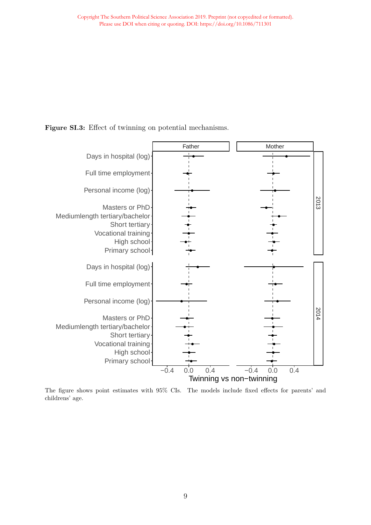<span id="page-20-0"></span>**Figure SI.3:** Effect of twinning on potential mechanisms.



The figure shows point estimates with 95% CIs. The models include fixed effects for parents' and childrens' age.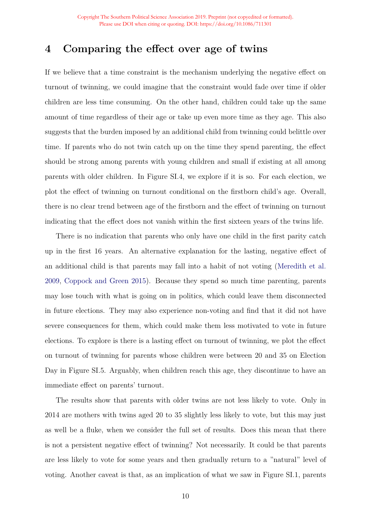# <span id="page-21-0"></span>**4 Comparing the effect over age of twins**

If we believe that a time constraint is the mechanism underlying the negative effect on turnout of twinning, we could imagine that the constraint would fade over time if older children are less time consuming. On the other hand, children could take up the same amount of time regardless of their age or take up even more time as they age. This also suggests that the burden imposed by an additional child from twinning could belittle over time. If parents who do not twin catch up on the time they spend parenting, the effect should be strong among parents with young children and small if existing at all among parents with older children. In Figure [SI.4,](#page-22-0) we explore if it is so. For each election, we plot the effect of twinning on turnout conditional on the firstborn child's age. Overall, there is no clear trend between age of the firstborn and the effect of twinning on turnout indicating that the effect does not vanish within the first sixteen years of the twins life.

There is no indication that parents who only have one child in the first parity catch up in the first 16 years. An alternative explanation for the lasting, negative effect of an additional child is that parents may fall into a habit of not voting [\(Meredith et al.](#page-26-2) [2009,](#page-26-2) [Coppock and Green 2015\)](#page-26-3). Because they spend so much time parenting, parents may lose touch with what is going on in politics, which could leave them disconnected in future elections. They may also experience non-voting and find that it did not have severe consequences for them, which could make them less motivated to vote in future elections. To explore is there is a lasting effect on turnout of twinning, we plot the effect on turnout of twinning for parents whose children were between 20 and 35 on Election Day in Figure [SI.5.](#page-23-0) Arguably, when children reach this age, they discontinue to have an immediate effect on parents' turnout.

The results show that parents with older twins are not less likely to vote. Only in 2014 are mothers with twins aged 20 to 35 slightly less likely to vote, but this may just as well be a fluke, when we consider the full set of results. Does this mean that there is not a persistent negative effect of twinning? Not necessarily. It could be that parents are less likely to vote for some years and then gradually return to a "natural" level of voting. Another caveat is that, as an implication of what we saw in Figure [SI.1,](#page-13-0) parents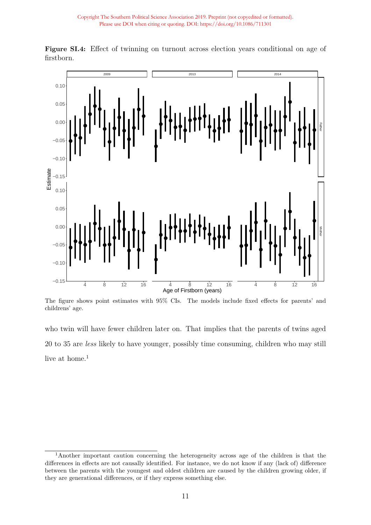

<span id="page-22-0"></span>**Figure SI.4:** Effect of twinning on turnout across election years conditional on age of firstborn.

The figure shows point estimates with 95% CIs. The models include fixed effects for parents' and childrens' age.

who twin will have fewer children later on. That implies that the parents of twins aged 20 to 35 are *less* likely to have younger, possibly time consuming, children who may still live at home. $<sup>1</sup>$  $<sup>1</sup>$  $<sup>1</sup>$ </sup>

<sup>1</sup>Another important caution concerning the heterogeneity across age of the children is that the differences in effects are not causally identified. For instance, we do not know if any (lack of) difference between the parents with the youngest and oldest children are caused by the children growing older, if they are generational differences, or if they express something else.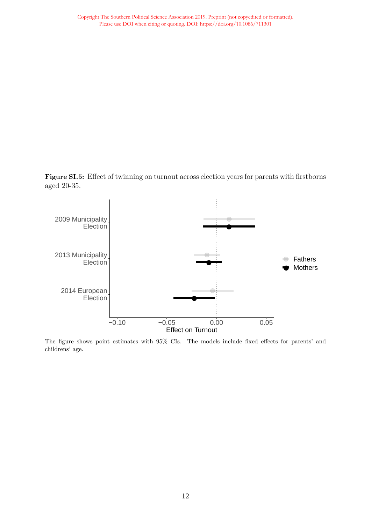<span id="page-23-0"></span>**Figure SI.5:** Effect of twinning on turnout across election years for parents with firstborns aged 20-35.



The figure shows point estimates with 95% CIs. The models include fixed effects for parents' and childrens' age.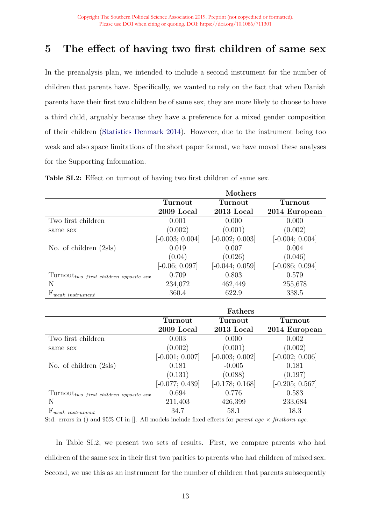# <span id="page-24-0"></span>**5 The effect of having two first children of same sex**

In the preanalysis plan, we intended to include a second instrument for the number of children that parents have. Specifically, we wanted to rely on the fact that when Danish parents have their first two children be of same sex, they are more likely to choose to have a third child, arguably because they have a preference for a mixed gender composition of their children [\(Statistics Denmark 2014\)](#page-26-4). However, due to the instrument being too weak and also space limitations of the short paper format, we have moved these analyses for the Supporting Information.

|                                                 |                   | Mothers           |                   |
|-------------------------------------------------|-------------------|-------------------|-------------------|
|                                                 | Turnout           | Turnout           | Turnout           |
|                                                 | 2009 Local        | 2013 Local        | 2014 European     |
| Two first children                              | 0.001             | 0.000             | 0.000             |
| same sex                                        | (0.002)           | (0.001)           | (0.002)           |
|                                                 | $[-0.003; 0.004]$ | $[-0.002; 0.003]$ | $[-0.004; 0.004]$ |
| No. of children (2sls)                          | 0.019             | 0.007             | 0.004             |
|                                                 | (0.04)            | (0.026)           | (0.046)           |
|                                                 | $[-0.06; 0.097]$  | $[-0.044; 0.059]$ | $[-0.086; 0.094]$ |
| $Turnout_{two\ first\ children\ opposite\ sex}$ | 0.709             | 0.803             | 0.579             |
| N                                               | 234,072           | 462,449           | 255,678           |
| $F_{weak\ instrument}$                          | 360.4             | 622.9             | 338.5             |
|                                                 |                   |                   |                   |
|                                                 |                   | <b>Fathers</b>    |                   |
|                                                 | Turnout           | Turnout           | Turnout           |
|                                                 | 2009 Local        | 2013 Local        | 2014 European     |
| Two first children                              | 0.003             | 0.000             | 0.002             |
| same sex                                        | (0.002)           | (0.001)           | (0.002)           |
|                                                 | $[-0.001; 0.007]$ | $[-0.003; 0.002]$ | $[-0.002; 0.006]$ |
| No. of children $(2sls)$                        | 0.181             | $-0.005$          | 0.181             |
|                                                 | (0.131)           | (0.088)           | (0.197)           |
|                                                 | $[-0.077; 0.439]$ | $[-0.178; 0.168]$ | $[-0.205; 0.567]$ |
| $Turnout_{two\ first\ children\ opposite\ sex}$ | 0.694             | 0.776             | 0.583             |
| N                                               | 211,403           | 426,399           | 233,684           |
|                                                 |                   |                   |                   |

<span id="page-24-1"></span>**Table SI.2:** Effect on turnout of having two first children of same sex.

Std. errors in () and 95% CI in []. All models include fixed effects for *parent age* × *firstborn age*.

In Table [SI.2,](#page-24-1) we present two sets of results. First, we compare parents who had children of the same sex in their first two parities to parents who had children of mixed sex. Second, we use this as an instrument for the number of children that parents subsequently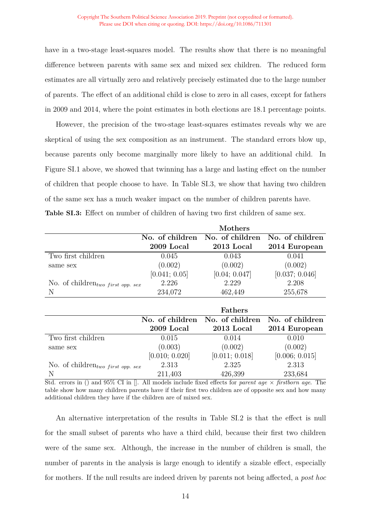have in a two-stage least-squares model. The results show that there is no meaningful difference between parents with same sex and mixed sex children. The reduced form estimates are all virtually zero and relatively precisely estimated due to the large number of parents. The effect of an additional child is close to zero in all cases, except for fathers in 2009 and 2014, where the point estimates in both elections are 18.1 percentage points.

However, the precision of the two-stage least-squares estimates reveals why we are skeptical of using the sex composition as an instrument. The standard errors blow up, because parents only become marginally more likely to have an additional child. In Figure [SI.1](#page-13-0) above, we showed that twinning has a large and lasting effect on the number of children that people choose to have. In Table [SI.3,](#page-25-0) we show that having two children of the same sex has a much weaker impact on the number of children parents have. **Table SI.3:** Effect on number of children of having two first children of same sex.

<span id="page-25-0"></span>

|                                               |                 | Mothers         |                 |
|-----------------------------------------------|-----------------|-----------------|-----------------|
|                                               | No. of children | No. of children | No. of children |
|                                               | 2009 Local      | $2013$ Local    | 2014 European   |
| Two first children                            | 0.045           | 0.043           | 0.041           |
| same sex                                      | (0.002)         | (0.002)         | (0.002)         |
|                                               | [0.041; 0.05]   | [0.04; 0.047]   | [0.037; 0.046]  |
| No. of children <sub>two</sub> first opp. sex | 2.226           | 2.229           | 2.208           |
| N                                             | 234,072         | 462,449         | 255,678         |
|                                               |                 |                 |                 |
|                                               |                 | <b>Fathers</b>  |                 |
|                                               | No. of children | No. of children | No. of children |
|                                               | 2009 Local      | 2013 Local      | 2014 European   |
| Two first children                            | 0.015           | 0.014           | 0.010           |
| same sex                                      | (0.003)         | (0.002)         | (0.002)         |

N 211,403 426,399 233,684 Std. errors in () and 95% CI in []. All models include fixed effects for *parent age* × *firstborn age*. The table show how many children parents have if their first two children are of opposite sex and how many additional children they have if the children are of mixed sex.

No. of children*two f irst opp. sex* 2.313 2.325 2.313

 $[0.010; 0.020]$   $[0.011; 0.018]$   $[0.006; 0.015]$ 

An alternative interpretation of the results in Table [SI.2](#page-24-1) is that the effect is null for the small subset of parents who have a third child, because their first two children were of the same sex. Although, the increase in the number of children is small, the number of parents in the analysis is large enough to identify a sizable effect, especially for mothers. If the null results are indeed driven by parents not being affected, a *post hoc*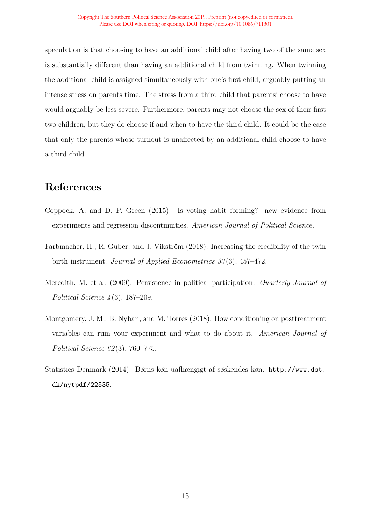speculation is that choosing to have an additional child after having two of the same sex is substantially different than having an additional child from twinning. When twinning the additional child is assigned simultaneously with one's first child, arguably putting an intense stress on parents time. The stress from a third child that parents' choose to have would arguably be less severe. Furthermore, parents may not choose the sex of their first two children, but they do choose if and when to have the third child. It could be the case that only the parents whose turnout is unaffected by an additional child choose to have a third child.

# **References**

- <span id="page-26-3"></span>Coppock, A. and D. P. Green (2015). Is voting habit forming? new evidence from experiments and regression discontinuities. *American Journal of Political Science*.
- <span id="page-26-0"></span>Farbmacher, H., R. Guber, and J. Vikström (2018). Increasing the credibility of the twin birth instrument. *Journal of Applied Econometrics 33* (3), 457–472.
- <span id="page-26-2"></span>Meredith, M. et al. (2009). Persistence in political participation. *Quarterly Journal of Political Science 4* (3), 187–209.
- <span id="page-26-1"></span>Montgomery, J. M., B. Nyhan, and M. Torres (2018). How conditioning on posttreatment variables can ruin your experiment and what to do about it. *American Journal of Political Science 62* (3), 760–775.
- <span id="page-26-4"></span>Statistics Denmark (2014). Børns køn uafhængigt af søskendes køn. [http://www.dst.](http://www.dst.dk/nytpdf/22535) [dk/nytpdf/22535](http://www.dst.dk/nytpdf/22535).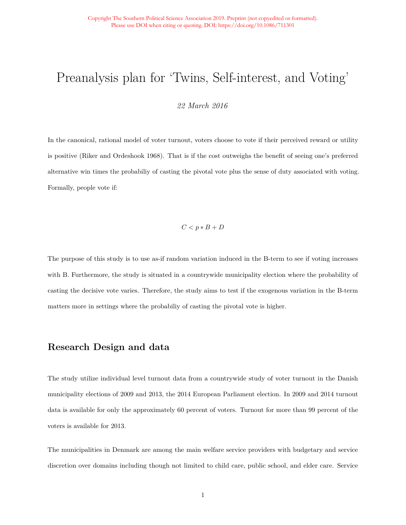# Preanalysis plan for 'Twins, Self-interest, and Voting'

*22 March 2016*

In the canonical, rational model of voter turnout, voters choose to vote if their perceived reward or utility is positive (Riker and Ordeshook 1968). That is if the cost outweighs the benefit of seeing one's preferred alternative win times the probabiliy of casting the pivotal vote plus the sense of duty associated with voting. Formally, people vote if:

$$
C < p * B + D
$$

The purpose of this study is to use as-if random variation induced in the B-term to see if voting increases with B. Furthermore, the study is situated in a countrywide municipality election where the probability of casting the decisive vote varies. Therefore, the study aims to test if the exogenous variation in the B-term matters more in settings where the probabiliy of casting the pivotal vote is higher.

### **Research Design and data**

The study utilize individual level turnout data from a countrywide study of voter turnout in the Danish municipality elections of 2009 and 2013, the 2014 European Parliament election. In 2009 and 2014 turnout data is available for only the approximately 60 percent of voters. Turnout for more than 99 percent of the voters is available for 2013.

The municipalities in Denmark are among the main welfare service providers with budgetary and service discretion over domains including though not limited to child care, public school, and elder care. Service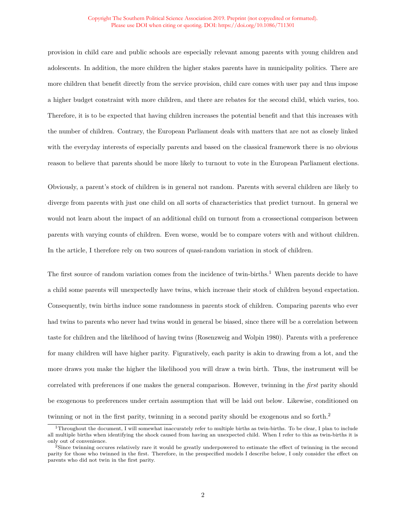#### Copyright The Southern Political Science Association 2019. Preprint (not copyedited or formatted). Please use DOI when citing or quoting. DOI: https://doi.org/10.1086/711301

provision in child care and public schools are especially relevant among parents with young children and adolescents. In addition, the more children the higher stakes parents have in municipality politics. There are more children that benefit directly from the service provision, child care comes with user pay and thus impose a higher budget constraint with more children, and there are rebates for the second child, which varies, too. Therefore, it is to be expected that having children increases the potential benefit and that this increases with the number of children. Contrary, the European Parliament deals with matters that are not as closely linked with the everyday interests of especially parents and based on the classical framework there is no obvious reason to believe that parents should be more likely to turnout to vote in the European Parliament elections.

Obviously, a parent's stock of children is in general not random. Parents with several children are likely to diverge from parents with just one child on all sorts of characteristics that predict turnout. In general we would not learn about the impact of an additional child on turnout from a crossectional comparison between parents with varying counts of children. Even worse, would be to compare voters with and without children. In the article, I therefore rely on two sources of quasi-random variation in stock of children.

The first source of random variation comes from the incidence of twin-births.<sup>[1](#page-28-0)</sup> When parents decide to have a child some parents will unexpectedly have twins, which increase their stock of children beyond expectation. Consequently, twin births induce some randomness in parents stock of children. Comparing parents who ever had twins to parents who never had twins would in general be biased, since there will be a correlation between taste for children and the likelihood of having twins (Rosenzweig and Wolpin 1980). Parents with a preference for many children will have higher parity. Figuratively, each parity is akin to drawing from a lot, and the more draws you make the higher the likelihood you will draw a twin birth. Thus, the instrument will be correlated with preferences if one makes the general comparison. However, twinning in the *first* parity should be exogenous to preferences under certain assumption that will be laid out below. Likewise, conditioned on twinning or not in the first parity, twinning in a second parity should be exogenous and so forth.[2](#page-28-1)

<span id="page-28-0"></span><sup>1</sup>Throughout the document, I will somewhat inaccurately refer to multiple births as twin-births. To be clear, I plan to include all multiple births when identifying the shock caused from having an unexpected child. When I refer to this as twin-births it is only out of convenience.

<span id="page-28-1"></span><sup>2</sup>Since twinning occures relatively rare it would be greatly underpowered to estimate the effect of twinning in the second parity for those who twinned in the first. Therefore, in the prespecified models I describe below, I only consider the effect on parents who did not twin in the first parity.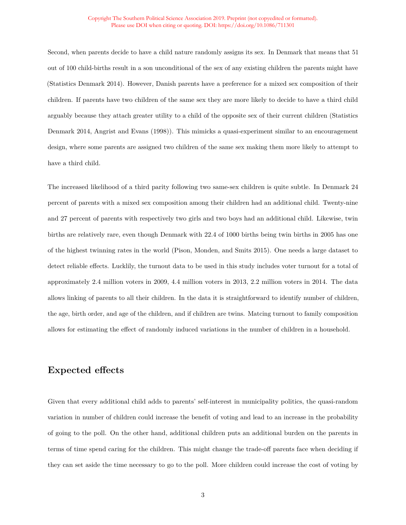#### Copyright The Southern Political Science Association 2019. Preprint (not copyedited or formatted). Please use DOI when citing or quoting. DOI: https://doi.org/10.1086/711301

Second, when parents decide to have a child nature randomly assigns its sex. In Denmark that means that 51 out of 100 child-births result in a son unconditional of the sex of any existing children the parents might have (Statistics Denmark 2014). However, Danish parents have a preference for a mixed sex composition of their children. If parents have two children of the same sex they are more likely to decide to have a third child arguably because they attach greater utility to a child of the opposite sex of their current children (Statistics Denmark 2014, Angrist and Evans (1998)). This mimicks a quasi-experiment similar to an encouragement design, where some parents are assigned two children of the same sex making them more likely to attempt to have a third child.

The increased likelihood of a third parity following two same-sex children is quite subtle. In Denmark 24 percent of parents with a mixed sex composition among their children had an additional child. Twenty-nine and 27 percent of parents with respectively two girls and two boys had an additional child. Likewise, twin births are relatively rare, even though Denmark with 22.4 of 1000 births being twin births in 2005 has one of the highest twinning rates in the world (Pison, Monden, and Smits 2015). One needs a large dataset to detect reliable effects. Lucklily, the turnout data to be used in this study includes voter turnout for a total of approximately 2.4 million voters in 2009, 4.4 million voters in 2013, 2.2 million voters in 2014. The data allows linking of parents to all their children. In the data it is straightforward to identify number of children, the age, birth order, and age of the children, and if children are twins. Matcing turnout to family composition allows for estimating the effect of randomly induced variations in the number of children in a household.

### **Expected effects**

Given that every additional child adds to parents' self-interest in municipality politics, the quasi-random variation in number of children could increase the benefit of voting and lead to an increase in the probability of going to the poll. On the other hand, additional children puts an additional burden on the parents in terms of time spend caring for the children. This might change the trade-off parents face when deciding if they can set aside the time necessary to go to the poll. More children could increase the cost of voting by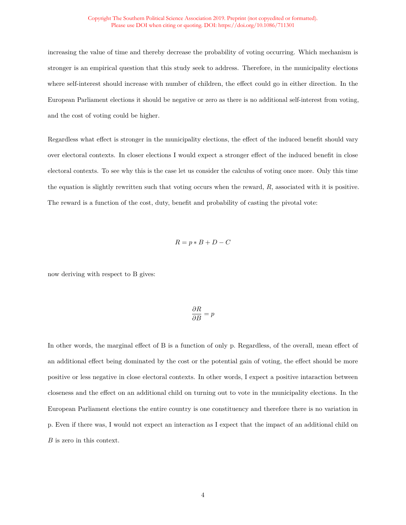increasing the value of time and thereby decrease the probability of voting occurring. Which mechanism is stronger is an empirical question that this study seek to address. Therefore, in the municipality elections where self-interest should increase with number of children, the effect could go in either direction. In the European Parliament elections it should be negative or zero as there is no additional self-interest from voting, and the cost of voting could be higher.

Regardless what effect is stronger in the municipality elections, the effect of the induced benefit should vary over electoral contexts. In closer elections I would expect a stronger effect of the induced benefit in close electoral contexts. To see why this is the case let us consider the calculus of voting once more. Only this time the equation is slightly rewritten such that voting occurs when the reward, *R*, associated with it is positive. The reward is a function of the cost, duty, benefit and probability of casting the pivotal vote:

$$
R = p * B + D - C
$$

now deriving with respect to B gives:

$$
\frac{\partial R}{\partial B} = p
$$

In other words, the marginal effect of B is a function of only p. Regardless, of the overall, mean effect of an additional effect being dominated by the cost or the potential gain of voting, the effect should be more positive or less negative in close electoral contexts. In other words, I expect a positive intaraction between closeness and the effect on an additional child on turning out to vote in the municipality elections. In the European Parliament elections the entire country is one constituency and therefore there is no variation in p. Even if there was, I would not expect an interaction as I expect that the impact of an additional child on *B* is zero in this context.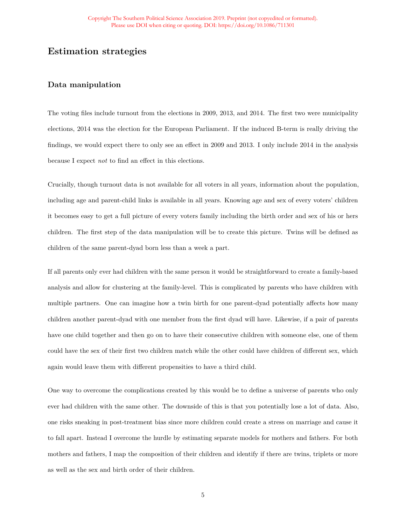## **Estimation strategies**

### **Data manipulation**

The voting files include turnout from the elections in 2009, 2013, and 2014. The first two were municipality elections, 2014 was the election for the European Parliament. If the induced B-term is really driving the findings, we would expect there to only see an effect in 2009 and 2013. I only include 2014 in the analysis because I expect *not* to find an effect in this elections.

Crucially, though turnout data is not available for all voters in all years, information about the population, including age and parent-child links is available in all years. Knowing age and sex of every voters' children it becomes easy to get a full picture of every voters family including the birth order and sex of his or hers children. The first step of the data manipulation will be to create this picture. Twins will be defined as children of the same parent-dyad born less than a week a part.

If all parents only ever had children with the same person it would be straightforward to create a family-based analysis and allow for clustering at the family-level. This is complicated by parents who have children with multiple partners. One can imagine how a twin birth for one parent-dyad potentially affects how many children another parent-dyad with one member from the first dyad will have. Likewise, if a pair of parents have one child together and then go on to have their consecutive children with someone else, one of them could have the sex of their first two children match while the other could have children of different sex, which again would leave them with different propensities to have a third child.

One way to overcome the complications created by this would be to define a universe of parents who only ever had children with the same other. The downside of this is that you potentially lose a lot of data. Also, one risks sneaking in post-treatment bias since more children could create a stress on marriage and cause it to fall apart. Instead I overcome the hurdle by estimating separate models for mothers and fathers. For both mothers and fathers, I map the composition of their children and identify if there are twins, triplets or more as well as the sex and birth order of their children.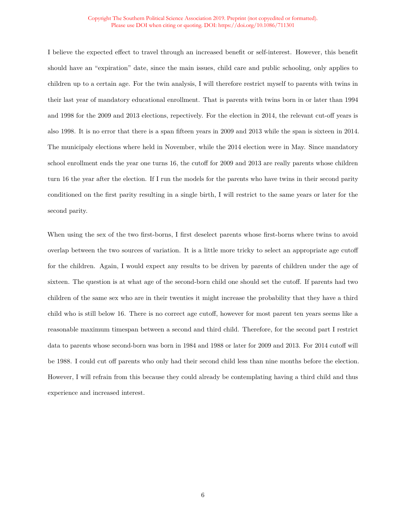#### Copyright The Southern Political Science Association 2019. Preprint (not copyedited or formatted). Please use DOI when citing or quoting. DOI: https://doi.org/10.1086/711301

I believe the expected effect to travel through an increased benefit or self-interest. However, this benefit should have an "expiration" date, since the main issues, child care and public schooling, only applies to children up to a certain age. For the twin analysis, I will therefore restrict myself to parents with twins in their last year of mandatory educational enrollment. That is parents with twins born in or later than 1994 and 1998 for the 2009 and 2013 elections, repectively. For the election in 2014, the relevant cut-off years is also 1998. It is no error that there is a span fifteen years in 2009 and 2013 while the span is sixteen in 2014. The municipaly elections where held in November, while the 2014 election were in May. Since mandatory school enrollment ends the year one turns 16, the cutoff for 2009 and 2013 are really parents whose children turn 16 the year after the election. If I run the models for the parents who have twins in their second parity conditioned on the first parity resulting in a single birth, I will restrict to the same years or later for the second parity.

When using the sex of the two first-borns, I first deselect parents whose first-borns where twins to avoid overlap between the two sources of variation. It is a little more tricky to select an appropriate age cutoff for the children. Again, I would expect any results to be driven by parents of children under the age of sixteen. The question is at what age of the second-born child one should set the cutoff. If parents had two children of the same sex who are in their twenties it might increase the probability that they have a third child who is still below 16. There is no correct age cutoff, however for most parent ten years seems like a reasonable maximum timespan between a second and third child. Therefore, for the second part I restrict data to parents whose second-born was born in 1984 and 1988 or later for 2009 and 2013. For 2014 cutoff will be 1988. I could cut off parents who only had their second child less than nine months before the election. However, I will refrain from this because they could already be contemplating having a third child and thus experience and increased interest.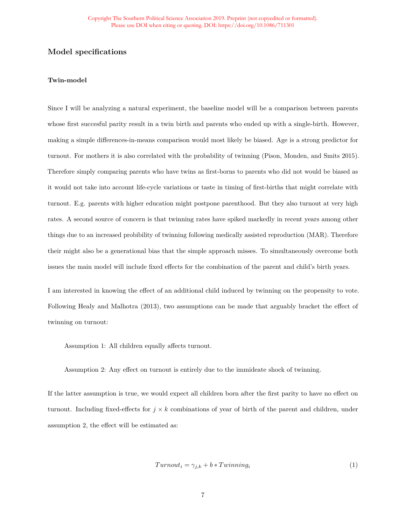### **Model specifications**

#### **Twin-model**

Since I will be analyzing a natural experiment, the baseline model will be a comparison between parents whose first succesful parity result in a twin birth and parents who ended up with a single-birth. However, making a simple differences-in-means comparison would most likely be biased. Age is a strong predictor for turnout. For mothers it is also correlated with the probability of twinning (Pison, Monden, and Smits 2015). Therefore simply comparing parents who have twins as first-borns to parents who did not would be biased as it would not take into account life-cycle variations or taste in timing of first-births that might correlate with turnout. E.g. parents with higher education might postpone parenthood. But they also turnout at very high rates. A second source of concern is that twinning rates have spiked markedly in recent years among other things due to an increased probibility of twinning following medically assisted reproduction (MAR). Therefore their might also be a generational bias that the simple approach misses. To simultaneously overcome both issues the main model will include fixed effects for the combination of the parent and child's birth years.

I am interested in knowing the effect of an additional child induced by twinning on the propensity to vote. Following Healy and Malhotra (2013), two assumptions can be made that arguably bracket the effect of twinning on turnout:

Assumption 1: All children equally affects turnout.

Assumption 2: Any effect on turnout is entirely due to the immideate shock of twinning.

If the latter assumption is true, we would expect all children born after the first parity to have no effect on turnout. Including fixed-effects for  $j \times k$  combinations of year of birth of the parent and children, under assumption 2, the effect will be estimated as:

$$
Turnout_i = \gamma_{j,k} + b * Twinning_i \tag{1}
$$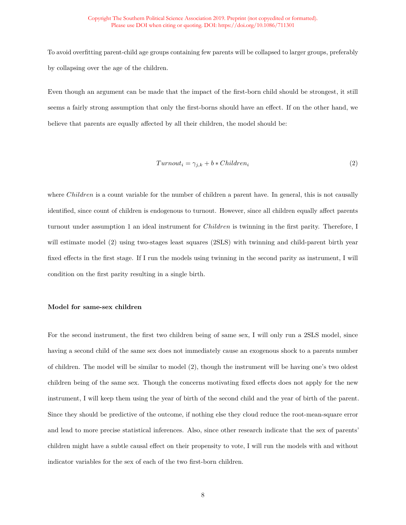To avoid overfitting parent-child age groups containing few parents will be collapsed to larger groups, preferably by collapsing over the age of the children.

Even though an argument can be made that the impact of the first-born child should be strongest, it still seems a fairly strong assumption that only the first-borns should have an effect. If on the other hand, we believe that parents are equally affected by all their children, the model should be:

$$
Turnout_i = \gamma_{j,k} + b * Children_i \tag{2}
$$

where *Children* is a count variable for the number of children a parent have. In general, this is not causally identified, since count of children is endogenous to turnout. However, since all children equally affect parents turnout under assumption 1 an ideal instrument for *Children* is twinning in the first parity. Therefore, I will estimate model (2) using two-stages least squares (2SLS) with twinning and child-parent birth year fixed effects in the first stage. If I run the models using twinning in the second parity as instrument, I will condition on the first parity resulting in a single birth.

### **Model for same-sex children**

For the second instrument, the first two children being of same sex, I will only run a 2SLS model, since having a second child of the same sex does not immediately cause an exogenous shock to a parents number of children. The model will be similar to model (2), though the instrument will be having one's two oldest children being of the same sex. Though the concerns motivating fixed effects does not apply for the new instrument, I will keep them using the year of birth of the second child and the year of birth of the parent. Since they should be predictive of the outcome, if nothing else they cloud reduce the root-mean-square error and lead to more precise statistical inferences. Also, since other research indicate that the sex of parents' children might have a subtle causal effect on their propensity to vote, I will run the models with and without indicator variables for the sex of each of the two first-born children.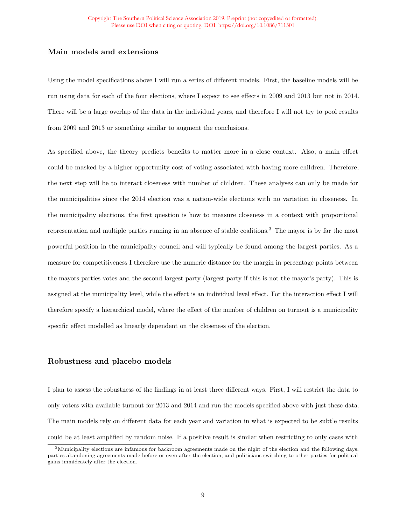### **Main models and extensions**

Using the model specifications above I will run a series of different models. First, the baseline models will be run using data for each of the four elections, where I expect to see effects in 2009 and 2013 but not in 2014. There will be a large overlap of the data in the individual years, and therefore I will not try to pool results from 2009 and 2013 or something similar to augment the conclusions.

As specified above, the theory predicts benefits to matter more in a close context. Also, a main effect could be masked by a higher opportunity cost of voting associated with having more children. Therefore, the next step will be to interact closeness with number of children. These analyses can only be made for the municipalities since the 2014 election was a nation-wide elections with no variation in closeness. In the municipality elections, the first question is how to measure closeness in a context with proportional representation and multiple parties running in an absence of stable coalitions.[3](#page-35-0) The mayor is by far the most powerful position in the municipality council and will typically be found among the largest parties. As a measure for competitiveness I therefore use the numeric distance for the margin in percentage points between the mayors parties votes and the second largest party (largest party if this is not the mayor's party). This is assigned at the municipality level, while the effect is an individual level effect. For the interaction effect I will therefore specify a hierarchical model, where the effect of the number of children on turnout is a municipality specific effect modelled as linearly dependent on the closeness of the election.

### **Robustness and placebo models**

I plan to assess the robustness of the findings in at least three different ways. First, I will restrict the data to only voters with available turnout for 2013 and 2014 and run the models specified above with just these data. The main models rely on different data for each year and variation in what is expected to be subtle results could be at least amplified by random noise. If a positive result is similar when restricting to only cases with

<span id="page-35-0"></span><sup>3</sup>Municipality elections are infamous for backroom agreements made on the night of the election and the following days, parties abandoning agreements made before or even after the election, and politicians switching to other parties for political gains immideately after the election.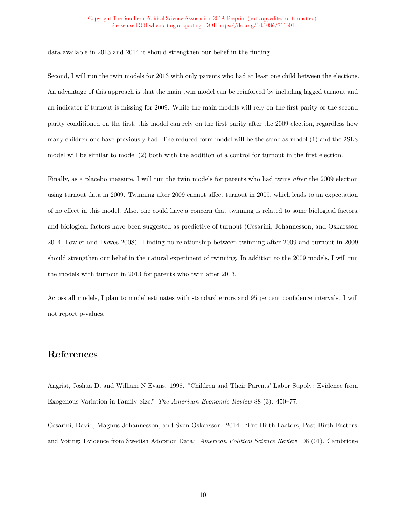data available in 2013 and 2014 it should strengthen our belief in the finding.

Second, I will run the twin models for 2013 with only parents who had at least one child between the elections. An advantage of this approach is that the main twin model can be reinforced by including lagged turnout and an indicator if turnout is missing for 2009. While the main models will rely on the first parity or the second parity conditioned on the first, this model can rely on the first parity after the 2009 election, regardless how many children one have previously had. The reduced form model will be the same as model (1) and the 2SLS model will be similar to model (2) both with the addition of a control for turnout in the first election.

Finally, as a placebo measure, I will run the twin models for parents who had twins *after* the 2009 election using turnout data in 2009. Twinning after 2009 cannot affect turnout in 2009, which leads to an expectation of no effect in this model. Also, one could have a concern that twinning is related to some biological factors, and biological factors have been suggested as predictive of turnout (Cesarini, Johannesson, and Oskarsson 2014; Fowler and Dawes 2008). Finding no relationship between twinning after 2009 and turnout in 2009 should strengthen our belief in the natural experiment of twinning. In addition to the 2009 models, I will run the models with turnout in 2013 for parents who twin after 2013.

Across all models, I plan to model estimates with standard errors and 95 percent confidence intervals. I will not report p-values.

## **References**

Angrist, Joshua D, and William N Evans. 1998. "Children and Their Parents' Labor Supply: Evidence from Exogenous Variation in Family Size." *The American Economic Review* 88 (3): 450–77.

Cesarini, David, Magnus Johannesson, and Sven Oskarsson. 2014. "Pre-Birth Factors, Post-Birth Factors, and Voting: Evidence from Swedish Adoption Data." *American Political Science Review* 108 (01). Cambridge